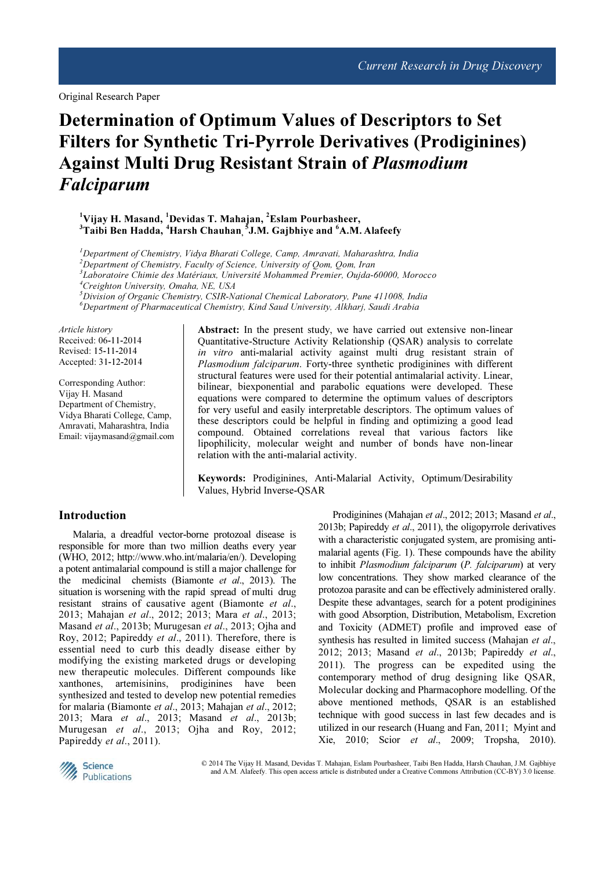Original Research Paper

# Determination of Optimum Values of Descriptors to Set Filters for Synthetic Tri-Pyrrole Derivatives (Prodiginines) Against Multi Drug Resistant Strain of Plasmodium Falciparum

## <sup>1</sup>Vijay H. Masand, <sup>1</sup>Devidas T. Mahajan, <sup>2</sup>Eslam Pourbasheer,  $^3$ Taibi Ben Hadda,  $^4$ Harsh Chauhan<sub>,</sub>  $^5$ J.M. Gajbhiye and  $^6$ A.M. Alafeefy

 ${}^{1}$ Department of Chemistry, Vidya Bharati College, Camp, Amravati, Maharashtra, India <sup>2</sup>Department of Chemistry, Faculty of Science, University of Qom, Qom, Iran  ${}^{3}$ Laboratoire Chimie des Matériaux, Université Mohammed Premier, Oujda-60000, Morocco <sup>4</sup>Creighton University, Omaha, NE, USA

 ${}^{5}$ Division of Organic Chemistry, CSIR-National Chemical Laboratory, Pune 411008, India  ${}^6$ Department of Pharmaceutical Chemistry, Kind Saud University, Alkharj, Saudi Arabia

Article history Received: 06-11-2014 Revised: 15-11-2014 Accepted: 31-12-2014

Corresponding Author: Vijay H. Masand Department of Chemistry, Vidya Bharati College, Camp, Amravati, Maharashtra, India Email: vijaymasand@gmail.com

Abstract: In the present study, we have carried out extensive non-linear Quantitative-Structure Activity Relationship (QSAR) analysis to correlate in vitro anti-malarial activity against multi drug resistant strain of Plasmodium falciparum. Forty-three synthetic prodiginines with different structural features were used for their potential antimalarial activity. Linear, bilinear, biexponential and parabolic equations were developed. These equations were compared to determine the optimum values of descriptors for very useful and easily interpretable descriptors. The optimum values of these descriptors could be helpful in finding and optimizing a good lead compound. Obtained correlations reveal that various factors like lipophilicity, molecular weight and number of bonds have non-linear relation with the anti-malarial activity.

Keywords: Prodiginines, Anti-Malarial Activity, Optimum/Desirability Values, Hybrid Inverse-QSAR

# Introduction

Malaria, a dreadful vector-borne protozoal disease is responsible for more than two million deaths every year (WHO, 2012; http://www.who.int/malaria/en/). Developing a potent antimalarial compound is still a major challenge for the medicinal chemists (Biamonte et al., 2013). The situation is worsening with the rapid spread of multi drug resistant strains of causative agent (Biamonte et al., 2013; Mahajan et al., 2012; 2013; Mara et al., 2013; Masand et al., 2013b; Murugesan et al., 2013; Ojha and Roy, 2012; Papireddy et al., 2011). Therefore, there is essential need to curb this deadly disease either by modifying the existing marketed drugs or developing new therapeutic molecules. Different compounds like xanthones, artemisinins, prodiginines have been synthesized and tested to develop new potential remedies for malaria (Biamonte et al., 2013; Mahajan et al., 2012; 2013; Mara et al., 2013; Masand et al., 2013b; Murugesan et al., 2013; Ojha and Roy, 2012; Papireddy et al., 2011).

Prodiginines (Mahajan et al., 2012; 2013; Masand et al., 2013b; Papireddy et al., 2011), the oligopyrrole derivatives with a characteristic conjugated system, are promising antimalarial agents (Fig. 1). These compounds have the ability to inhibit Plasmodium falciparum (P. falciparum) at very low concentrations. They show marked clearance of the protozoa parasite and can be effectively administered orally. Despite these advantages, search for a potent prodiginines with good Absorption, Distribution, Metabolism, Excretion and Toxicity (ADMET) profile and improved ease of synthesis has resulted in limited success (Mahajan et al., 2012; 2013; Masand et al., 2013b; Papireddy et al., 2011). The progress can be expedited using the contemporary method of drug designing like QSAR, Molecular docking and Pharmacophore modelling. Of the above mentioned methods, QSAR is an established technique with good success in last few decades and is utilized in our research (Huang and Fan, 2011; Myint and Xie, 2010; Scior et al., 2009; Tropsha, 2010).



© 2014 The Vijay H. Masand, Devidas T. Mahajan, Eslam Pourbasheer, Taibi Ben Hadda, Harsh Chauhan, J.M. Gajbhiye and A.M. Alafeefy. This open access article is distributed under a Creative Commons Attribution (CC-BY) 3.0 license.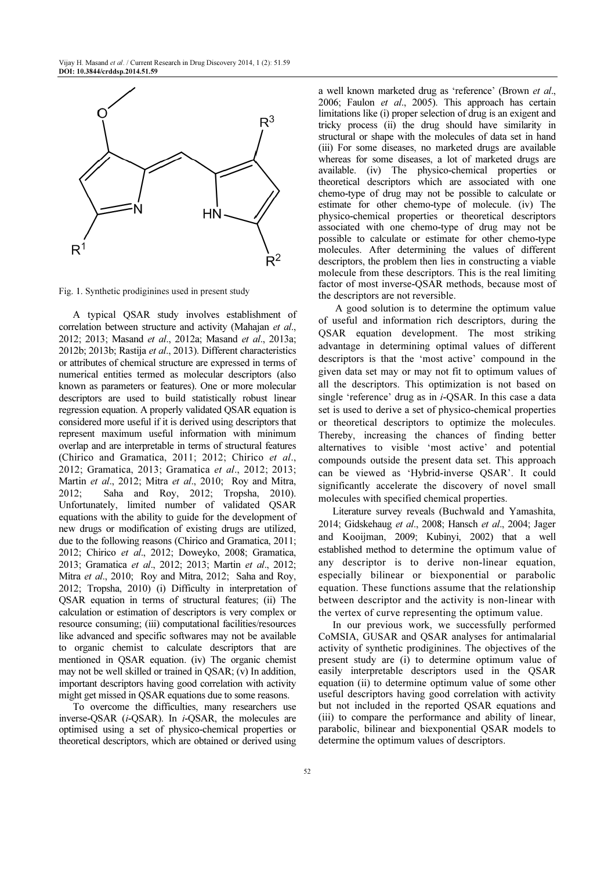

Fig. 1. Synthetic prodiginines used in present study

A typical QSAR study involves establishment of correlation between structure and activity (Mahajan et al., 2012; 2013; Masand et al., 2012a; Masand et al., 2013a; 2012b; 2013b; Rastija et al., 2013). Different characteristics or attributes of chemical structure are expressed in terms of numerical entities termed as molecular descriptors (also known as parameters or features). One or more molecular descriptors are used to build statistically robust linear regression equation. A properly validated QSAR equation is considered more useful if it is derived using descriptors that represent maximum useful information with minimum overlap and are interpretable in terms of structural features (Chirico and Gramatica, 2011; 2012; Chirico et al., 2012; Gramatica, 2013; Gramatica et al., 2012; 2013; Martin et al., 2012; Mitra et al., 2010; Roy and Mitra, 2012; Saha and Roy, 2012; Tropsha, 2010). Unfortunately, limited number of validated QSAR equations with the ability to guide for the development of new drugs or modification of existing drugs are utilized, due to the following reasons (Chirico and Gramatica, 2011; 2012; Chirico et al., 2012; Doweyko, 2008; Gramatica, 2013; Gramatica et al., 2012; 2013; Martin et al., 2012; Mitra *et al.*, 2010; Roy and Mitra, 2012; Saha and Roy, 2012; Tropsha, 2010) (i) Difficulty in interpretation of QSAR equation in terms of structural features; (ii) The calculation or estimation of descriptors is very complex or resource consuming; (iii) computational facilities/resources like advanced and specific softwares may not be available to organic chemist to calculate descriptors that are mentioned in QSAR equation. (iv) The organic chemist may not be well skilled or trained in QSAR; (v) In addition, important descriptors having good correlation with activity might get missed in QSAR equations due to some reasons.

To overcome the difficulties, many researchers use inverse-QSAR (i-QSAR). In i-QSAR, the molecules are optimised using a set of physico-chemical properties or theoretical descriptors, which are obtained or derived using a well known marketed drug as 'reference' (Brown et al., 2006; Faulon et al., 2005). This approach has certain limitations like (i) proper selection of drug is an exigent and tricky process (ii) the drug should have similarity in structural or shape with the molecules of data set in hand (iii) For some diseases, no marketed drugs are available whereas for some diseases, a lot of marketed drugs are available. (iv) The physico-chemical properties or theoretical descriptors which are associated with one chemo-type of drug may not be possible to calculate or estimate for other chemo-type of molecule. (iv) The physico-chemical properties or theoretical descriptors associated with one chemo-type of drug may not be possible to calculate or estimate for other chemo-type molecules. After determining the values of different descriptors, the problem then lies in constructing a viable molecule from these descriptors. This is the real limiting factor of most inverse-QSAR methods, because most of the descriptors are not reversible.

 A good solution is to determine the optimum value of useful and information rich descriptors, during the QSAR equation development. The most striking advantage in determining optimal values of different descriptors is that the 'most active' compound in the given data set may or may not fit to optimum values of all the descriptors. This optimization is not based on single 'reference' drug as in i-QSAR. In this case a data set is used to derive a set of physico-chemical properties or theoretical descriptors to optimize the molecules. Thereby, increasing the chances of finding better alternatives to visible 'most active' and potential compounds outside the present data set. This approach can be viewed as 'Hybrid-inverse QSAR'. It could significantly accelerate the discovery of novel small molecules with specified chemical properties.

Literature survey reveals (Buchwald and Yamashita, 2014; Gidskehaug et al., 2008; Hansch et al., 2004; Jager and Kooijman, 2009; Kubinyi, 2002) that a well established method to determine the optimum value of any descriptor is to derive non-linear equation, especially bilinear or biexponential or parabolic equation. These functions assume that the relationship between descriptor and the activity is non-linear with the vertex of curve representing the optimum value.

In our previous work, we successfully performed CoMSIA, GUSAR and QSAR analyses for antimalarial activity of synthetic prodiginines. The objectives of the present study are (i) to determine optimum value of easily interpretable descriptors used in the QSAR equation (ii) to determine optimum value of some other useful descriptors having good correlation with activity but not included in the reported QSAR equations and (iii) to compare the performance and ability of linear, parabolic, bilinear and biexponential QSAR models to determine the optimum values of descriptors.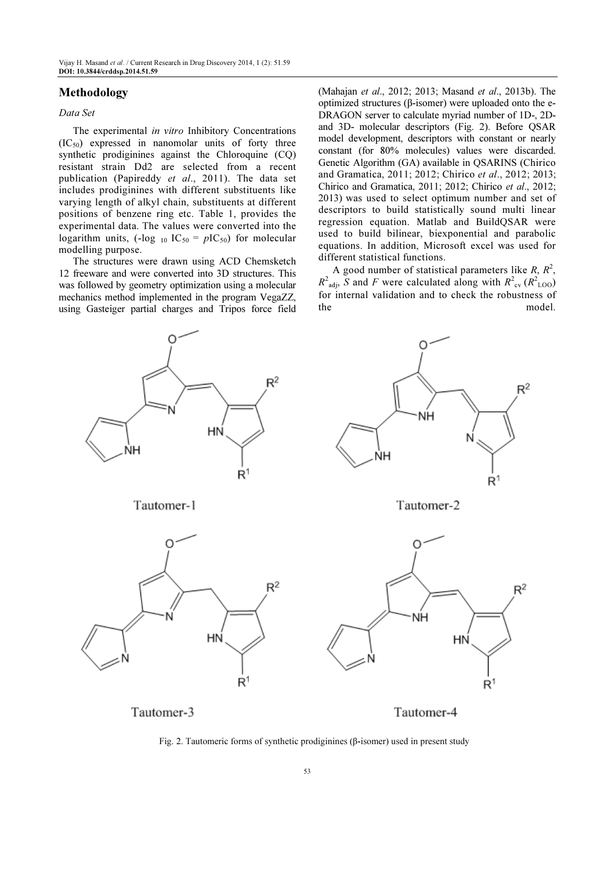# Methodology

#### Data Set

The experimental in vitro Inhibitory Concentrations  $(IC_{50})$  expressed in nanomolar units of forty three synthetic prodiginines against the Chloroquine (CQ) resistant strain Dd2 are selected from a recent publication (Papireddy et al., 2011). The data set includes prodiginines with different substituents like varying length of alkyl chain, substituents at different positions of benzene ring etc. Table 1, provides the experimental data. The values were converted into the logarithm units,  $(-\log_{10} IC_{50} = pIC_{50})$  for molecular modelling purpose.

The structures were drawn using ACD Chemsketch 12 freeware and were converted into 3D structures. This was followed by geometry optimization using a molecular mechanics method implemented in the program VegaZZ, using Gasteiger partial charges and Tripos force field (Mahajan et al., 2012; 2013; Masand et al., 2013b). The optimized structures (β-isomer) were uploaded onto the e-DRAGON server to calculate myriad number of 1D-, 2Dand 3D- molecular descriptors (Fig. 2). Before QSAR model development, descriptors with constant or nearly constant (for 80% molecules) values were discarded. Genetic Algorithm (GA) available in QSARINS (Chirico and Gramatica, 2011; 2012; Chirico et al., 2012; 2013; Chirico and Gramatica, 2011; 2012; Chirico et al., 2012; 2013) was used to select optimum number and set of descriptors to build statistically sound multi linear regression equation. Matlab and BuildQSAR were used to build bilinear, biexponential and parabolic equations. In addition, Microsoft excel was used for different statistical functions.

A good number of statistical parameters like  $R$ ,  $R^2$ ,  $R^2$ <sub>adj</sub>, S and F were calculated along with  $R^2_{\text{cv}} (R^2_{\text{LOO}})$ for internal validation and to check the robustness of the model.



Fig. 2. Tautomeric forms of synthetic prodiginines (β-isomer) used in present study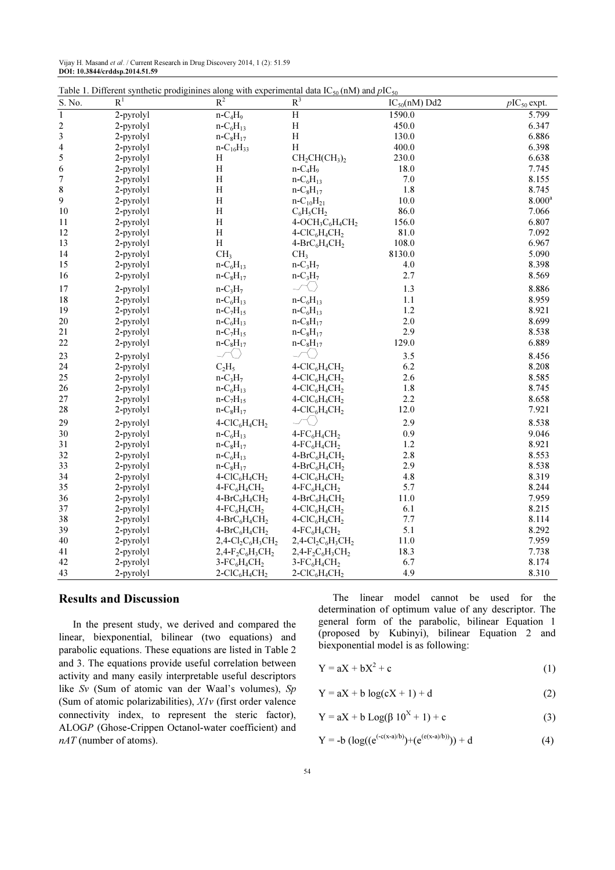| Vijay H. Masand et al. / Current Research in Drug Discovery 2014, 1 (2): 51.59 |  |
|--------------------------------------------------------------------------------|--|
| DOI: 10.3844/crddsp.2014.51.59                                                 |  |

| $R^2$<br>R <sup>1</sup><br>$R^3$<br>S. No.                                                                                                                      | $IC_{50}(nM)$ Dd2 |                  |
|-----------------------------------------------------------------------------------------------------------------------------------------------------------------|-------------------|------------------|
|                                                                                                                                                                 |                   | $pIC_{50}$ expt. |
| $\overline{1}$<br>$n-C_4H_9$<br>$\overline{H}$<br>2-pyrolyl                                                                                                     | 1590.0            | 5.799            |
| $\frac{2}{3}$<br>$n - C_6H_{13}$<br>$\mathbf H$<br>2-pyrolyl                                                                                                    | 450.0             | 6.347            |
| $\mathbf H$<br>2-pyrolyl<br>$n-C_8H_{17}$                                                                                                                       | 130.0             | 6.886            |
| $\overline{4}$<br>H<br>2-pyrolyl<br>$n - C_{16}H_{33}$                                                                                                          | 400.0             | 6.398            |
| 5<br>Н<br>$CH_2CH(CH_3)_2$<br>2-pyrolyl                                                                                                                         | 230.0             | 6.638            |
| 6<br>$\boldsymbol{\mathrm{H}}$<br>2-pyrolyl<br>$n - C_4H_9$                                                                                                     | 18.0              | 7.745            |
| 7<br>$\boldsymbol{\mathrm{H}}$<br>$n - C_6H_{13}$<br>2-pyrolyl                                                                                                  | 7.0               | 8.155            |
| 8<br>$\rm H$<br>2-pyrolyl<br>$n - C_8H_{17}$                                                                                                                    | 1.8               | 8.745            |
| 9<br>Н<br>$n - C_{10}H_{21}$<br>2-pyrolyl                                                                                                                       | 10.0              | $8.000^a$        |
| $\mathbf H$<br>10<br>$C_6H_5CH_2$<br>2-pyrolyl                                                                                                                  | 86.0              | 7.066            |
| $\rm H$<br>11<br>$4-OCH3C6H4CH2$<br>2-pyrolyl                                                                                                                   | 156.0             | 6.807            |
| H<br>12<br>2-pyrolyl<br>$4-CIC6H4CH2$                                                                                                                           | 81.0              | 7.092            |
| H<br>13<br>2-pyrolyl<br>$4-BrC_6H_4CH_2$                                                                                                                        | 108.0             | 6.967            |
| CH <sub>3</sub><br>14<br>2-pyrolyl<br>CH <sub>3</sub>                                                                                                           | 8130.0            | 5.090            |
| 15<br>$n - C_6H_{13}$<br>2-pyrolyl<br>$n-C_3H_7$                                                                                                                | 4.0               | 8.398            |
| 16<br>2-pyrolyl<br>$n - C_8H_{17}$<br>$n-C_3H_7$                                                                                                                | 2.7               | 8.569            |
| $n-C_3H_7$<br>17<br>2-pyrolyl                                                                                                                                   | 1.3               | 8.886            |
| 18<br>$n - C_6H_{13}$<br>$n - C_6H_{13}$<br>2-pyrolyl                                                                                                           | 1.1               | 8.959            |
| 2-pyrolyl<br>19<br>$n-C7H15$<br>$n - C_6H_{13}$                                                                                                                 | 1.2               | 8.921            |
| $n - C_6H_{13}$<br>20<br>2-pyrolyl<br>$n - C_8H_{17}$                                                                                                           | $2.0\,$           | 8.699            |
| 21<br>$n - C_7H_{15}$<br>2-pyrolyl<br>$n - C_8H_{17}$                                                                                                           | 2.9               | 8.538            |
| 22<br>2-pyrolyl<br>$n - C_8H_{17}$<br>$n - C_8H_{17}$                                                                                                           | 129.0             | 6.889            |
| $\prec$<br>23<br>2-pyrolyl                                                                                                                                      | 3.5               | 8.456            |
| $C_2H_5$<br>$4-CIC6H4CH2$<br>24<br>2-pyrolyl                                                                                                                    | 6.2               | 8.208            |
| 2-pyrolyl<br>$n-C_3H_7$<br>$4-CIC6H4CH2$<br>25                                                                                                                  | 2.6               | 8.585            |
| $n - C_6H_{13}$<br>26<br>2-pyrolyl<br>$4-CIC6H4CH2$                                                                                                             | 1.8               | 8.745            |
| 27<br>$n - C_7H_{15}$<br>$4-CIC6H4CH2$<br>2-pyrolyl                                                                                                             | 2.2               | 8.658            |
| 28<br>$n - C_8H_{17}$<br>$4-CIC6H4CH2$<br>2-pyrolyl                                                                                                             | 12.0              | 7.921            |
| $4-CIC6H4CH2$<br>29<br>2-pyrolyl                                                                                                                                | 2.9               | 8.538            |
| 30<br>$n - C_6H_{13}$<br>$4$ -FC <sub>6</sub> H <sub>4</sub> CH <sub>2</sub><br>2-pyrolyl                                                                       | 0.9               | 9.046            |
| 31<br>2-pyrolyl<br>$n-C_8H_{17}$<br>$4$ -FC <sub>6</sub> H <sub>4</sub> CH <sub>2</sub>                                                                         | 1.2               | 8.921            |
| $n - C_6H_{13}$<br>32<br>2-pyrolyl<br>$4-BrC_6H_4CH_2$                                                                                                          | 2.8               | 8.553            |
| 33<br>$n - C_8H_{17}$<br>$4-BrC_6H_4CH_2$<br>2-pyrolyl                                                                                                          | 2.9               | 8.538            |
| 34<br>$4-CIC6H4CH2$<br>2-pyrolyl<br>$4-CIC6H4CH2$                                                                                                               | 4.8               | 8.319            |
| 35<br>2-pyrolyl<br>$4$ -FC <sub>6</sub> H <sub>4</sub> CH <sub>2</sub><br>$4$ -FC <sub>6</sub> H <sub>4</sub> CH <sub>2</sub>                                   | 5.7               | 8.244            |
| 36<br>2-pyrolyl<br>$4-BrC_6H_4CH_2$<br>$4-BrC_6H_4CH_2$                                                                                                         | 11.0              | 7.959            |
| 37<br>$4$ -FC <sub>6</sub> H <sub>4</sub> CH <sub>2</sub><br>$4-CIC6H4CH2$<br>2-pyrolyl                                                                         | 6.1               | 8.215            |
| 38<br>2-pyrolyl<br>$4-BrC_6H_4CH_2$<br>$4-CIC6H4CH2$                                                                                                            | 7.7               | 8.114            |
| 39<br>$4-BrC_6H_4CH_2$<br>$4$ -FC <sub>6</sub> H <sub>4</sub> CH <sub>2</sub><br>2-pyrolyl                                                                      | 5.1               | 8.292            |
| 40<br>2-pyrolyl<br>$2,4$ -Cl <sub>2</sub> C <sub>6</sub> H <sub>3</sub> CH <sub>2</sub><br>$2,4$ -Cl <sub>2</sub> C <sub>6</sub> H <sub>3</sub> CH <sub>2</sub> | 11.0              | 7.959            |
| 2-pyrolyl<br>$2,4$ -F <sub>2</sub> C <sub>6</sub> H <sub>3</sub> CH <sub>2</sub><br>41<br>$2,4$ - $F2C6H3CH2$                                                   | 18.3              | 7.738            |
| $3-FC_6H_4CH_2$<br>42<br>2-pyrolyl<br>$3-FC_6H_4CH_2$                                                                                                           | 6.7               | 8.174            |
| 43<br>$2-CIC6H4CH2$<br>$2-CIC6H4CH2$<br>2-pyrolyl                                                                                                               | 4.9               | 8.310            |

|  |  | <b>Results and Discussion</b> |
|--|--|-------------------------------|
|--|--|-------------------------------|

In the present study, we derived and compared the linear, biexponential, bilinear (two equations) and parabolic equations. These equations are listed in Table 2 and 3. The equations provide useful correlation between activity and many easily interpretable useful descriptors like Sv (Sum of atomic van der Waal's volumes), Sp (Sum of atomic polarizabilities), X1v (first order valence connectivity index, to represent the steric factor), ALOGP (Ghose-Crippen Octanol-water coefficient) and  $nAT$  (number of atoms).

The linear model cannot be used for the determination of optimum value of any descriptor. The general form of the parabolic, bilinear Equation 1 (proposed by Kubinyi), bilinear Equation 2 and biexponential model is as following:

$$
Y = aX + bX^2 + c \tag{1}
$$

$$
Y = aX + b \log(cX + 1) + d \tag{2}
$$

$$
Y = aX + b \text{ Log}(\beta \ 10^X + 1) + c \tag{3}
$$

$$
Y = -b \left( \log((e^{(-c(x-a)/b)}) + (e^{(e(x-a)/b)})) + d \right) \tag{4}
$$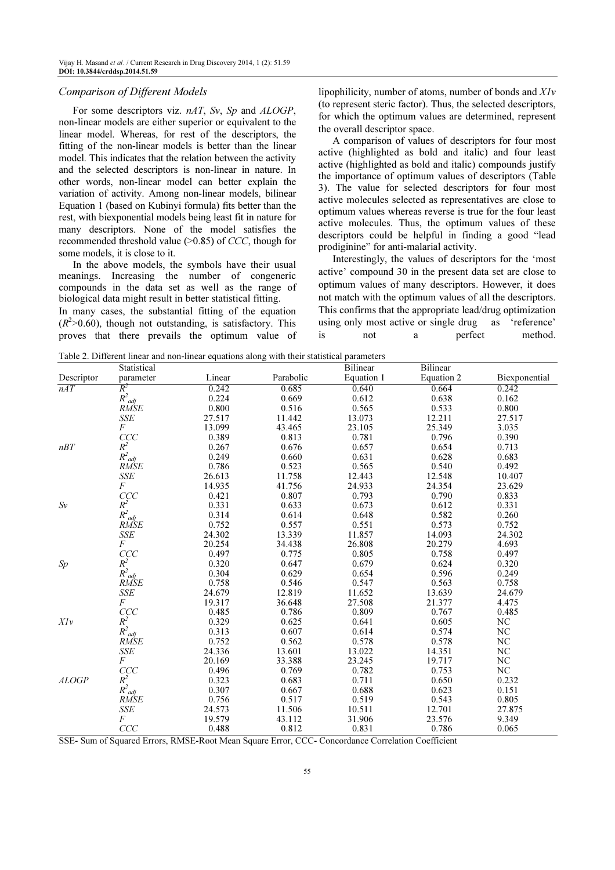#### Comparison of Different Models

For some descriptors viz. *nAT*, Sv, Sp and *ALOGP*, non-linear models are either superior or equivalent to the linear model. Whereas, for rest of the descriptors, the fitting of the non-linear models is better than the linear model. This indicates that the relation between the activity and the selected descriptors is non-linear in nature. In other words, non-linear model can better explain the variation of activity. Among non-linear models, bilinear Equation 1 (based on Kubinyi formula) fits better than the rest, with biexponential models being least fit in nature for many descriptors. None of the model satisfies the recommended threshold value (>0.85) of CCC, though for some models, it is close to it.

In the above models, the symbols have their usual meanings. Increasing the number of congeneric compounds in the data set as well as the range of biological data might result in better statistical fitting.

In many cases, the substantial fitting of the equation  $(R<sup>2</sup> > 0.60)$ , though not outstanding, is satisfactory. This proves that there prevails the optimum value of

lipophilicity, number of atoms, number of bonds and  $Xlv$ (to represent steric factor). Thus, the selected descriptors, for which the optimum values are determined, represent the overall descriptor space.

A comparison of values of descriptors for four most active (highlighted as bold and italic) and four least active (highlighted as bold and italic) compounds justify the importance of optimum values of descriptors (Table 3). The value for selected descriptors for four most active molecules selected as representatives are close to optimum values whereas reverse is true for the four least active molecules. Thus, the optimum values of these descriptors could be helpful in finding a good "lead prodiginine" for anti-malarial activity.

Interestingly, the values of descriptors for the 'most active' compound 30 in the present data set are close to optimum values of many descriptors. However, it does not match with the optimum values of all the descriptors. This confirms that the appropriate lead/drug optimization using only most active or single drug as 'reference' is not a perfect method.

Table 2. Different linear and non-linear equations along with their statistical parameters

|              | Statistical                                                        |        |           | <b>Bilinear</b> | <b>Bilinear</b> |                  |
|--------------|--------------------------------------------------------------------|--------|-----------|-----------------|-----------------|------------------|
| Descriptor   | parameter                                                          | Linear | Parabolic | Equation 1      | Equation 2      | Biexponential    |
| nAT          | $R^2$                                                              | 0.242  | 0.685     | 0.640           | 0.664           | 0.242            |
|              | $R^2_{adj}$<br>RMSE                                                | 0.224  | 0.669     | 0.612           | 0.638           | 0.162            |
|              |                                                                    | 0.800  | 0.516     | 0.565           | 0.533           | 0.800            |
|              | <b>SSE</b>                                                         | 27.517 | 11.442    | 13.073          | 12.211          | 27.517           |
|              | F                                                                  | 13.099 | 43.465    | 23.105          | 25.349          | 3.035            |
|              | $\begin{array}{c} \nCC \\ R^2 \\ R^2 \\ RMSE \n\end{array}$        | 0.389  | 0.813     | 0.781           | 0.796           | 0.390            |
| nBT          |                                                                    | 0.267  | 0.676     | 0.657           | 0.654           | 0.713            |
|              |                                                                    | 0.249  | 0.660     | 0.631           | 0.628           | 0.683            |
|              |                                                                    | 0.786  | 0.523     | 0.565           | 0.540           | 0.492            |
|              | <b>SSE</b>                                                         | 26.613 | 11.758    | 12.443          | 12.548          | 10.407           |
|              | $\cal F$                                                           | 14.935 | 41.756    | 24.933          | 24.354          | 23.629           |
|              |                                                                    | 0.421  | 0.807     | 0.793           | 0.790           | 0.833            |
| Sv           |                                                                    | 0.331  | 0.633     | 0.673           | 0.612           | 0.331            |
|              |                                                                    | 0.314  | 0.614     | 0.648           | 0.582           | 0.260            |
|              | $\begin{array}{c} CCC \ R^2 \ R^2_{\text{adj}} \ RMSE \end{array}$ | 0.752  | 0.557     | 0.551           | 0.573           | 0.752            |
|              | <b>SSE</b>                                                         | 24.302 | 13.339    | 11.857          | 14.093          | 24.302           |
|              | F                                                                  | 20.254 | 34.438    | 26.808          | 20.279          | 4.693            |
|              | $\frac{CCC}{R^2}$                                                  | 0.497  | 0.775     | 0.805           | 0.758           | 0.497            |
| Sp           |                                                                    | 0.320  | 0.647     | 0.679           | 0.624           | 0.320            |
|              | $R^2_{adj}$<br>RMSE                                                | 0.304  | 0.629     | 0.654           | 0.596           | 0.249            |
|              |                                                                    | 0.758  | 0.546     | 0.547           | 0.563           | 0.758            |
|              | SSE                                                                | 24.679 | 12.819    | 11.652          | 13.639          | 24.679           |
|              | F                                                                  | 19.317 | 36.648    | 27.508          | 21.377          | 4.475            |
|              | $\frac{CCC}{R}$                                                    | 0.485  | 0.786     | 0.809           | 0.767           | 0.485            |
| Xlv          |                                                                    | 0.329  | 0.625     | 0.641           | 0.605           | NC               |
|              | $R^2_{adj}$<br>RMSE                                                | 0.313  | 0.607     | 0.614           | 0.574           | NC               |
|              |                                                                    | 0.752  | 0.562     | 0.578           | 0.578           | NC               |
|              | <b>SSE</b>                                                         | 24.336 | 13.601    | 13.022          | 14.351          | NC               |
|              | F                                                                  | 20.169 | 33.388    | 23.245          | 19.717          | $_{\mathrm{NC}}$ |
|              | $\frac{CCC}{R}$                                                    | 0.496  | 0.769     | 0.782           | 0.753           | $_{\mathrm{NC}}$ |
| <b>ALOGP</b> |                                                                    | 0.323  | 0.683     | 0.711           | 0.650           | 0.232            |
|              |                                                                    | 0.307  | 0.667     | 0.688           | 0.623           | 0.151            |
|              | $R^2_{adj}$<br>RMSE                                                | 0.756  | 0.517     | 0.519           | 0.543           | 0.805            |
|              | $S\!S\!E$                                                          | 24.573 | 11.506    | 10.511          | 12.701          | 27.875           |
|              | $\cal F$                                                           | 19.579 | 43.112    | 31.906          | 23.576          | 9.349            |
|              | CCC                                                                | 0.488  | 0.812     | 0.831           | 0.786           | 0.065            |

SSE- Sum of Squared Errors, RMSE-Root Mean Square Error, CCC- Concordance Correlation Coefficient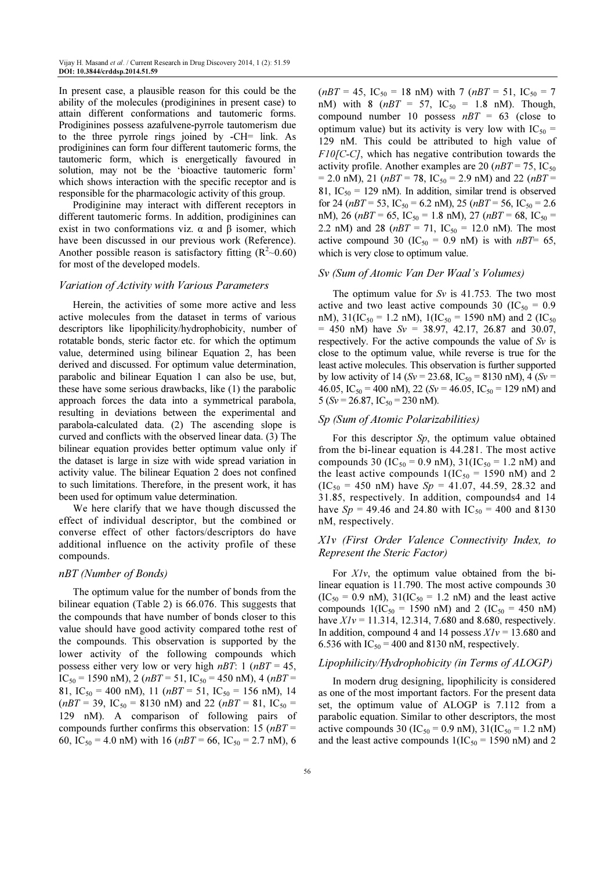In present case, a plausible reason for this could be the ability of the molecules (prodiginines in present case) to attain different conformations and tautomeric forms. Prodiginines possess azafulvene-pyrrole tautomerism due to the three pyrrole rings joined by -CH= link. As prodiginines can form four different tautomeric forms, the tautomeric form, which is energetically favoured in solution, may not be the 'bioactive tautomeric form' which shows interaction with the specific receptor and is responsible for the pharmacologic activity of this group.

Prodiginine may interact with different receptors in different tautomeric forms. In addition, prodiginines can exist in two conformations viz.  $\alpha$  and β isomer, which have been discussed in our previous work (Reference). Another possible reason is satisfactory fitting  $(R^2 \sim 0.60)$ for most of the developed models.

#### Variation of Activity with Various Parameters

Herein, the activities of some more active and less active molecules from the dataset in terms of various descriptors like lipophilicity/hydrophobicity, number of rotatable bonds, steric factor etc. for which the optimum value, determined using bilinear Equation 2, has been derived and discussed. For optimum value determination, parabolic and bilinear Equation 1 can also be use, but, these have some serious drawbacks, like (1) the parabolic approach forces the data into a symmetrical parabola, resulting in deviations between the experimental and parabola-calculated data. (2) The ascending slope is curved and conflicts with the observed linear data. (3) The bilinear equation provides better optimum value only if the dataset is large in size with wide spread variation in activity value. The bilinear Equation 2 does not confined to such limitations. Therefore, in the present work, it has been used for optimum value determination.

We here clarify that we have though discussed the effect of individual descriptor, but the combined or converse effect of other factors/descriptors do have additional influence on the activity profile of these compounds.

#### nBT (Number of Bonds)

The optimum value for the number of bonds from the bilinear equation (Table 2) is 66.076. This suggests that the compounds that have number of bonds closer to this value should have good activity compared tothe rest of the compounds. This observation is supported by the lower activity of the following compounds which possess either very low or very high  $nBT$ : 1 ( $nBT = 45$ ,  $IC_{50} = 1590 \text{ nM}$ , 2 ( $nBT = 51$ ,  $IC_{50} = 450 \text{ nM}$ ), 4 ( $nBT =$ 81, IC<sub>50</sub> = 400 nM), 11 ( $nBT = 51$ , IC<sub>50</sub> = 156 nM), 14  $(nBT = 39, IC_{50} = 8130 \text{ nM})$  and 22  $(nBT = 81, IC_{50} =$ 129 nM). A comparison of following pairs of compounds further confirms this observation: 15 ( $nBT =$ 60, IC<sub>50</sub> = 4.0 nM) with 16 ( $nBT = 66$ , IC<sub>50</sub> = 2.7 nM), 6  $(nBT = 45, IC_{50} = 18 \text{ nM})$  with 7  $(nBT = 51, IC_{50} = 7$ nM) with 8 ( $nBT = 57$ ,  $IC_{50} = 1.8$  nM). Though, compound number 10 possess  $nBT = 63$  (close to optimum value) but its activity is very low with  $IC_{50}$  = 129 nM. This could be attributed to high value of  $F10\text{/}C-C\text{/}$ , which has negative contribution towards the activity profile. Another examples are 20 ( $nBT = 75$ , IC<sub>50</sub>)  $= 2.0$  nM), 21 ( $nBT = 78$ , IC<sub>50</sub> = 2.9 nM) and 22 ( $nBT =$ 81,  $IC_{50} = 129$  nM). In addition, similar trend is observed for 24 ( $nBT = 53$ , IC<sub>50</sub> = 6.2 nM), 25 ( $nBT = 56$ , IC<sub>50</sub> = 2.6 nM), 26 ( $nBT = 65$ , IC<sub>50</sub> = 1.8 nM), 27 ( $nBT = 68$ , IC<sub>50</sub> = 2.2 nM) and 28 ( $nBT = 71$ , IC<sub>50</sub> = 12.0 nM). The most active compound 30 (IC<sub>50</sub> = 0.9 nM) is with  $nBT=$  65, which is very close to optimum value.

#### Sv (Sum of Atomic Van Der Waal's Volumes)

The optimum value for Sv is 41.753. The two most active and two least active compounds 30 ( $IC_{50} = 0.9$ ) nM),  $31(IC_{50} = 1.2 \text{ nM})$ ,  $1(IC_{50} = 1590 \text{ nM})$  and 2  $(IC_{50}$  $= 450$  nM) have  $Sv = 38.97, 42.17, 26.87$  and 30.07, respectively. For the active compounds the value of  $Sv$  is close to the optimum value, while reverse is true for the least active molecules. This observation is further supported by low activity of 14 ( $Sv = 23.68$ ,  $IC_{50} = 8130$  nM), 4 ( $Sv =$ 46.05, IC<sub>50</sub> = 400 nM), 22 (Sv = 46.05, IC<sub>50</sub> = 129 nM) and 5 ( $Sv = 26.87$ ,  $IC_{50} = 230$  nM).

#### Sp (Sum of Atomic Polarizabilities)

For this descriptor Sp, the optimum value obtained from the bi-linear equation is 44.281. The most active compounds 30 (IC<sub>50</sub> = 0.9 nM), 31(IC<sub>50</sub> = 1.2 nM) and the least active compounds  $1(IC_{50} = 1590 \text{ nM})$  and 2  $(IC<sub>50</sub> = 450 nM)$  have  $Sp = 41.07, 44.59, 28.32$  and 31.85, respectively. In addition, compounds4 and 14 have  $Sp = 49.46$  and 24.80 with  $IC_{50} = 400$  and 8130 nM, respectively.

### X1v (First Order Valence Connectivity Index, to Represent the Steric Factor)

For  $X/v$ , the optimum value obtained from the bilinear equation is 11.790. The most active compounds 30  $(IC_{50} = 0.9 \text{ nM})$ ,  $31(IC_{50} = 1.2 \text{ nM})$  and the least active compounds  $1(IC_{50} = 1590 \text{ nM})$  and 2  $(IC_{50} = 450 \text{ nM})$ have  $X/v = 11.314$ , 12.314, 7.680 and 8.680, respectively. In addition, compound 4 and 14 possess  $X/v = 13.680$  and 6.536 with  $IC_{50} = 400$  and 8130 nM, respectively.

#### Lipophilicity/Hydrophobicity (in Terms of ALOGP)

In modern drug designing, lipophilicity is considered as one of the most important factors. For the present data set, the optimum value of ALOGP is 7.112 from a parabolic equation. Similar to other descriptors, the most active compounds 30 (IC<sub>50</sub> = 0.9 nM), 31(IC<sub>50</sub> = 1.2 nM) and the least active compounds  $1(IC_{50} = 1590 \text{ nM})$  and 2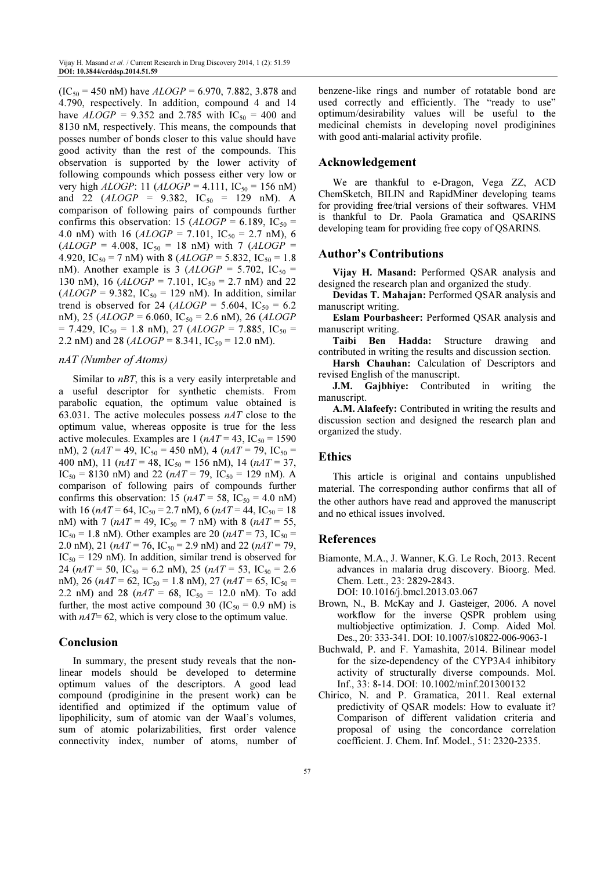$(IC_{50} = 450 \text{ nM})$  have  $ALOGP = 6.970, 7.882, 3.878$  and 4.790, respectively. In addition, compound 4 and 14 have  $ALOGP = 9.352$  and 2.785 with  $IC_{50} = 400$  and 8130 nM, respectively. This means, the compounds that posses number of bonds closer to this value should have good activity than the rest of the compounds. This observation is supported by the lower activity of following compounds which possess either very low or very high  $ALOGP$ : 11  $(ALOGP = 4.111, IC_{50} = 156 \text{ nM})$ and 22  $(ALOGP = 9.382, IC_{50} = 129 \text{ nM}).$  A comparison of following pairs of compounds further confirms this observation: 15 ( $ALOGP = 6.189$ , IC<sub>50</sub> = 4.0 nM) with 16 ( $ALOGP = 7.101$ ,  $IC_{50} = 2.7$  nM), 6  $(ALOGP = 4.008, IC_{50} = 18 \text{ nM})$  with 7  $(ALOGP = 1.003)$ 4.920, IC<sub>50</sub> = 7 nM) with 8 (*ALOGP* = 5.832, IC<sub>50</sub> = 1.8 nM). Another example is 3 ( $ALOGP = 5.702$ ,  $IC_{50} =$ 130 nM), 16 ( $ALOGP = 7.101$ ,  $IC_{50} = 2.7$  nM) and 22  $(ALOGP = 9.382, IC_{50} = 129 \text{ nM})$ . In addition, similar trend is observed for 24 ( $ALOGP = 5.604$ ,  $IC_{50} = 6.2$ nM), 25 ( $ALOGP = 6.060$ , IC<sub>50</sub> = 2.6 nM), 26 ( $ALOGP$  $= 7.429$ , IC<sub>50</sub> = 1.8 nM), 27 (*ALOGP* = 7.885, IC<sub>50</sub> = 2.2 nM) and 28 ( $ALOGP = 8.341$ ,  $IC_{50} = 12.0$  nM).

#### nAT (Number of Atoms)

Similar to *nBT*, this is a very easily interpretable and a useful descriptor for synthetic chemists. From parabolic equation, the optimum value obtained is 63.031. The active molecules possess  $nAT$  close to the optimum value, whereas opposite is true for the less active molecules. Examples are 1 ( $nAT = 43$ , IC<sub>50</sub> = 1590 nM), 2 ( $nAT = 49$ , IC<sub>50</sub> = 450 nM), 4 ( $nAT = 79$ , IC<sub>50</sub> = 400 nM), 11 ( $nAT = 48$ , IC<sub>50</sub> = 156 nM), 14 ( $nAT = 37$ ,  $IC_{50} = 8130$  nM) and 22 ( $nAT = 79$ ,  $IC_{50} = 129$  nM). A comparison of following pairs of compounds further confirms this observation: 15 ( $nAT = 58$ , IC<sub>50</sub> = 4.0 nM) with 16 ( $nAT = 64$ ,  $IC_{50} = 2.7$  nM), 6 ( $nAT = 44$ ,  $IC_{50} = 18$ nM) with 7 ( $nAT = 49$ , IC<sub>50</sub> = 7 nM) with 8 ( $nAT = 55$ ,  $IC_{50} = 1.8$  nM). Other examples are 20 ( $nAT = 73$ ,  $IC_{50} =$ 2.0 nM), 21 ( $nAT = 76$ , IC<sub>50</sub> = 2.9 nM) and 22 ( $nAT = 79$ ,  $IC_{50} = 129$  nM). In addition, similar trend is observed for 24 ( $nAT = 50$ , IC<sub>50</sub> = 6.2 nM), 25 ( $nAT = 53$ , IC<sub>50</sub> = 2.6 nM), 26 ( $nAT = 62$ , IC<sub>50</sub> = 1.8 nM), 27 ( $nAT = 65$ , IC<sub>50</sub> = 2.2 nM) and 28 ( $nAT = 68$ , IC<sub>50</sub> = 12.0 nM). To add further, the most active compound 30 (IC<sub>50</sub> = 0.9 nM) is with  $nAT= 62$ , which is very close to the optimum value.

## Conclusion

In summary, the present study reveals that the nonlinear models should be developed to determine optimum values of the descriptors. A good lead compound (prodiginine in the present work) can be identified and optimized if the optimum value of lipophilicity, sum of atomic van der Waal's volumes, sum of atomic polarizabilities, first order valence connectivity index, number of atoms, number of benzene-like rings and number of rotatable bond are used correctly and efficiently. The "ready to use" optimum/desirability values will be useful to the medicinal chemists in developing novel prodiginines with good anti-malarial activity profile.

#### Acknowledgement

We are thankful to e-Dragon, Vega ZZ, ACD ChemSketch, BILIN and RapidMiner developing teams for providing free/trial versions of their softwares. VHM is thankful to Dr. Paola Gramatica and QSARINS developing team for providing free copy of QSARINS.

#### Author's Contributions

Vijay H. Masand: Performed QSAR analysis and designed the research plan and organized the study.

Devidas T. Mahajan: Performed QSAR analysis and manuscript writing.

Eslam Pourbasheer: Performed QSAR analysis and manuscript writing.

Taibi Ben Hadda: Structure drawing and contributed in writing the results and discussion section.

Harsh Chauhan: Calculation of Descriptors and revised English of the manuscript.

J.M. Gajbhiye: Contributed in writing the manuscript.

A.M. Alafeefy: Contributed in writing the results and discussion section and designed the research plan and organized the study.

#### Ethics

This article is original and contains unpublished material. The corresponding author confirms that all of the other authors have read and approved the manuscript and no ethical issues involved.

#### References

- Biamonte, M.A., J. Wanner, K.G. Le Roch, 2013. Recent advances in malaria drug discovery. Bioorg. Med. Chem. Lett., 23: 2829-2843. DOI: 10.1016/j.bmcl.2013.03.067
- Brown, N., B. McKay and J. Gasteiger, 2006. A novel workflow for the inverse QSPR problem using multiobjective optimization. J. Comp. Aided Mol. Des., 20: 333-341. DOI: 10.1007/s10822-006-9063-1
- Buchwald, P. and F. Yamashita, 2014. Bilinear model for the size-dependency of the CYP3A4 inhibitory activity of structurally diverse compounds. Mol. Inf., 33: 8-14. DOI: 10.1002/minf.201300132
- Chirico, N. and P. Gramatica, 2011. Real external predictivity of QSAR models: How to evaluate it? Comparison of different validation criteria and proposal of using the concordance correlation coefficient. J. Chem. Inf. Model., 51: 2320-2335.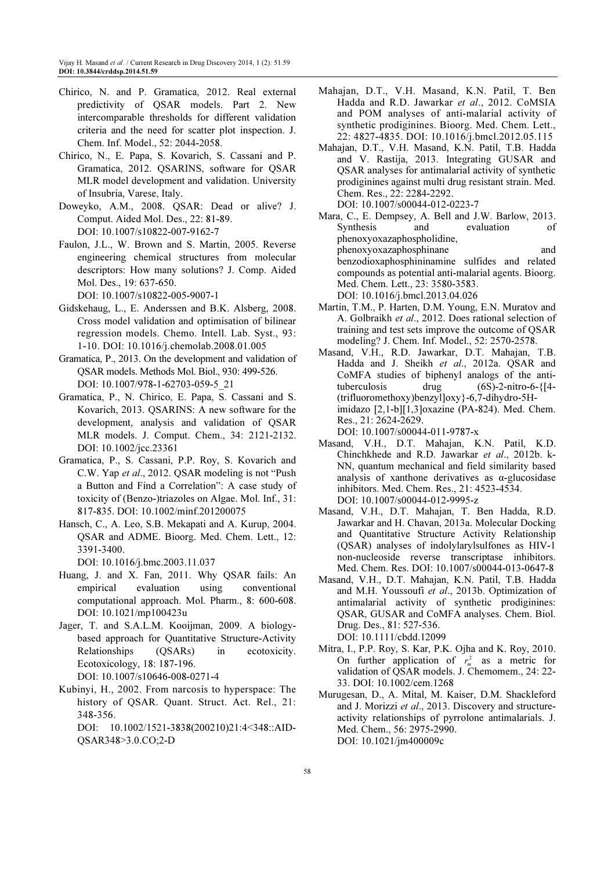- Chirico, N. and P. Gramatica, 2012. Real external predictivity of QSAR models. Part 2. New intercomparable thresholds for different validation criteria and the need for scatter plot inspection. J. Chem. Inf. Model., 52: 2044-2058.
- Chirico, N., E. Papa, S. Kovarich, S. Cassani and P. Gramatica, 2012. QSARINS, software for QSAR MLR model development and validation. University of Insubria, Varese, Italy.
- Doweyko, A.M., 2008. QSAR: Dead or alive? J. Comput. Aided Mol. Des., 22: 81-89. DOI: 10.1007/s10822-007-9162-7
- Faulon, J.L., W. Brown and S. Martin, 2005. Reverse engineering chemical structures from molecular descriptors: How many solutions? J. Comp. Aided Mol. Des., 19: 637-650.

DOI: 10.1007/s10822-005-9007-1

- Gidskehaug, L., E. Anderssen and B.K. Alsberg, 2008. Cross model validation and optimisation of bilinear regression models. Chemo. Intell. Lab. Syst., 93: 1-10. DOI: 10.1016/j.chemolab.2008.01.005
- Gramatica, P., 2013. On the development and validation of QSAR models. Methods Mol. Biol., 930: 499-526. DOI: 10.1007/978-1-62703-059-5\_21
- Gramatica, P., N. Chirico, E. Papa, S. Cassani and S. Kovarich, 2013. QSARINS: A new software for the development, analysis and validation of QSAR MLR models. J. Comput. Chem., 34: 2121-2132. DOI: 10.1002/jcc.23361
- Gramatica, P., S. Cassani, P.P. Roy, S. Kovarich and C.W. Yap et al., 2012. QSAR modeling is not "Push a Button and Find a Correlation": A case study of toxicity of (Benzo-)triazoles on Algae. Mol. Inf., 31: 817-835. DOI: 10.1002/minf.201200075
- Hansch, C., A. Leo, S.B. Mekapati and A. Kurup, 2004. QSAR and ADME. Bioorg. Med. Chem. Lett., 12: 3391-3400.

DOI: 10.1016/j.bmc.2003.11.037

- Huang, J. and X. Fan, 2011. Why QSAR fails: An empirical evaluation using conventional computational approach. Mol. Pharm., 8: 600-608. DOI: 10.1021/mp100423u
- Jager, T. and S.A.L.M. Kooijman, 2009. A biologybased approach for Quantitative Structure-Activity Relationships (QSARs) in ecotoxicity. Ecotoxicology, 18: 187-196. DOI: 10.1007/s10646-008-0271-4
- Kubinyi, H., 2002. From narcosis to hyperspace: The history of QSAR. Quant. Struct. Act. Rel., 21: 348-356. DOI: 10.1002/1521-3838(200210)21:4<348::AID-QSAR348>3.0.CO;2-D
- Mahajan, D.T., V.H. Masand, K.N. Patil, T. Ben Hadda and R.D. Jawarkar et al., 2012. CoMSIA and POM analyses of anti-malarial activity of synthetic prodiginines. Bioorg. Med. Chem. Lett., 22: 4827-4835. DOI: 10.1016/j.bmcl.2012.05.115
- Mahajan, D.T., V.H. Masand, K.N. Patil, T.B. Hadda and V. Rastija, 2013. Integrating GUSAR and QSAR analyses for antimalarial activity of synthetic prodiginines against multi drug resistant strain. Med. Chem. Res., 22: 2284-2292. DOI: 10.1007/s00044-012-0223-7
- Mara, C., E. Dempsey, A. Bell and J.W. Barlow, 2013. Synthesis and evaluation of phenoxyoxazaphospholidine, phenoxyoxazaphosphinane and benzodioxaphosphininamine sulfides and related compounds as potential anti-malarial agents. Bioorg. Med. Chem. Lett., 23: 3580-3583. DOI: 10.1016/j.bmcl.2013.04.026
- Martin, T.M., P. Harten, D.M. Young, E.N. Muratov and A. Golbraikh et al., 2012. Does rational selection of training and test sets improve the outcome of QSAR modeling? J. Chem. Inf. Model., 52: 2570-2578.
- Masand, V.H., R.D. Jawarkar, D.T. Mahajan, T.B. Hadda and J. Sheikh et al., 2012a. QSAR and CoMFA studies of biphenyl analogs of the antituberculosis drug (6S)-2-nitro-6-{[4- (trifluoromethoxy)benzyl]oxy}-6,7-dihydro-5Himidazo [2,1-b][1,3]oxazine (PA-824). Med. Chem. Res., 21: 2624-2629. DOI: 10.1007/s00044-011-9787-x
- Masand, V.H., D.T. Mahajan, K.N. Patil, K.D. Chinchkhede and R.D. Jawarkar et al., 2012b. k-NN, quantum mechanical and field similarity based analysis of xanthone derivatives as  $\alpha$ -glucosidase inhibitors. Med. Chem. Res., 21: 4523-4534. DOI: 10.1007/s00044-012-9995-z
- Masand, V.H., D.T. Mahajan, T. Ben Hadda, R.D. Jawarkar and H. Chavan, 2013a. Molecular Docking and Quantitative Structure Activity Relationship (QSAR) analyses of indolylarylsulfones as HIV-1 non-nucleoside reverse transcriptase inhibitors. Med. Chem. Res. DOI: 10.1007/s00044-013-0647-8
- Masand, V.H., D.T. Mahajan, K.N. Patil, T.B. Hadda and M.H. Youssoufi et al., 2013b. Optimization of antimalarial activity of synthetic prodiginines: QSAR, GUSAR and CoMFA analyses. Chem. Biol. Drug. Des., 81: 527-536. DOI: 10.1111/cbdd.12099
- Mitra, I., P.P. Roy, S. Kar, P.K. Ojha and K. Roy, 2010. On further application of  $r_m^2$  as a metric for validation of QSAR models. J. Chemomem., 24: 22- 33. DOI: 10.1002/cem.1268
- Murugesan, D., A. Mital, M. Kaiser, D.M. Shackleford and J. Morizzi et al., 2013. Discovery and structureactivity relationships of pyrrolone antimalarials. J. Med. Chem., 56: 2975-2990. DOI: 10.1021/jm400009c